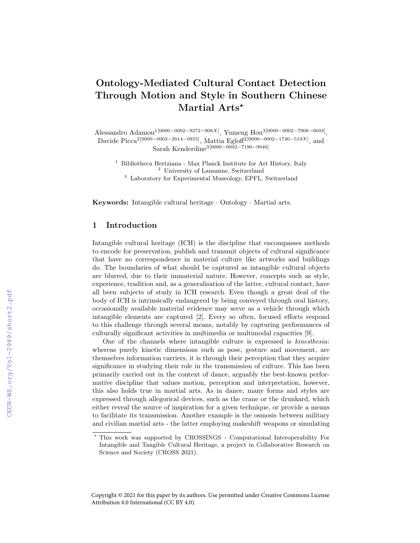# Ontology-Mediated Cultural Contact Detection Through Motion and Style in Southern Chinese Martial Arts\*

Alessandro Adamou<sup>1</sup><sup>[0000–0002–9272–908X]</sup>, Yumeng Hou<sup>3</sup><sup>[0000–0002–7908–0693]</sup>, Davide Picca<sup>2</sup>[0000–0003–2014–0855], Mattia Egloff<sup>2</sup>[0000–0002–1740–519X], and Sarah Kenderdine3[0000−0002−7190−9946]

<sup>1</sup> Bibliotheca Hertziana - Max Planck Institute for Art History, Italy <sup>2</sup> University of Lausanne, Switzerland <sup>3</sup> Laboratory for Experimental Museology, EPFL, Switzerland

Keywords: Intangible cultural heritage · Ontology · Martial arts.

## 1 Introduction

Intangible cultural heritage (ICH) is the discipline that encompasses methods to encode for preservation, publish and transmit objects of cultural significance that have no correspondence in material culture like artworks and buildings do. The boundaries of what should be captured as intangible cultural objects are blurred, due to their immaterial nature. However, concepts such as style, experience, tradition and, as a generalisation of the latter, cultural contact, have all been subjects of study in ICH research. Even though a great deal of the body of ICH is intrinsically endangered by being conveyed through oral history, occasionally available material evidence may serve as a vehicle through which intangible elements are captured [2]. Every so often, focused efforts respond to this challenge through several means, notably by capturing performances of culturally significant activities in multimedia or multimodal capacities [9].

One of the channels where intangible culture is expressed is kinesthesia: whereas purely kinetic dimensions such as pose, gesture and movement, are themselves information carriers, it is through their perception that they acquire significance in studying their role in the transmission of culture. This has been primarily carried out in the context of dance, arguably the best-known performative discipline that values motion, perception and interpretation, however, this also holds true in martial arts. As in dance, many forms and styles are expressed through allegorical devices, such as the crane or the drunkard, which either reveal the source of inspiration for a given technique, or provide a means to facilitate its transmission. Another example is the osmosis between military and civilian martial arts - the latter employing makeshift weapons or simulating

<sup>?</sup> This work was supported by CROSSINGS - Computational Interoperability For Intangible and Tangible Cultural Heritage, a project in Collaborative Research on Science and Society (CROSS 2021).

Copyright © 2021 for this paper by its authors. Use permitted under Creative Commons License Attribution 4.0 International (CC BY 4.0).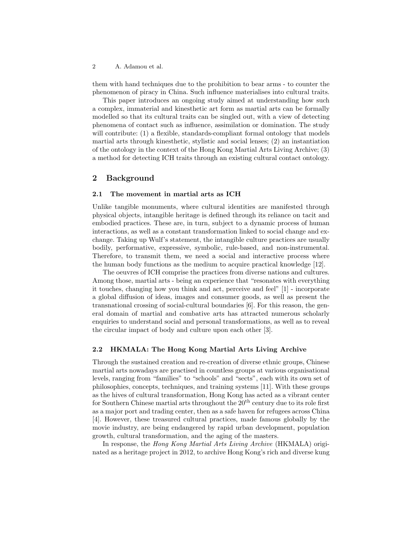2 A. Adamou et al.

them with hand techniques due to the prohibition to bear arms - to counter the phenomenon of piracy in China. Such influence materialises into cultural traits.

This paper introduces an ongoing study aimed at understanding how such a complex, immaterial and kinesthetic art form as martial arts can be formally modelled so that its cultural traits can be singled out, with a view of detecting phenomena of contact such as influence, assimilation or domination. The study will contribute: (1) a flexible, standards-compliant formal ontology that models martial arts through kinesthetic, stylistic and social lenses; (2) an instantiation of the ontology in the context of the Hong Kong Martial Arts Living Archive; (3) a method for detecting ICH traits through an existing cultural contact ontology.

## 2 Background

### 2.1 The movement in martial arts as ICH

Unlike tangible monuments, where cultural identities are manifested through physical objects, intangible heritage is defined through its reliance on tacit and embodied practices. These are, in turn, subject to a dynamic process of human interactions, as well as a constant transformation linked to social change and exchange. Taking up Wulf's statement, the intangible culture practices are usually bodily, performative, expressive, symbolic, rule-based, and non-instrumental. Therefore, to transmit them, we need a social and interactive process where the human body functions as the medium to acquire practical knowledge [12].

The oeuvres of ICH comprise the practices from diverse nations and cultures. Among those, martial arts - being an experience that "resonates with everything it touches, changing how you think and act, perceive and feel" [1] - incorporate a global diffusion of ideas, images and consumer goods, as well as present the transnational crossing of social-cultural boundaries [6]. For this reason, the general domain of martial and combative arts has attracted numerous scholarly enquiries to understand social and personal transformations, as well as to reveal the circular impact of body and culture upon each other [3].

#### 2.2 HKMALA: The Hong Kong Martial Arts Living Archive

Through the sustained creation and re-creation of diverse ethnic groups, Chinese martial arts nowadays are practised in countless groups at various organisational levels, ranging from "families" to "schools" and "sects", each with its own set of philosophies, concepts, techniques, and training systems [11]. With these groups as the hives of cultural transformation, Hong Kong has acted as a vibrant center for Southern Chinese martial arts throughout the  $20<sup>th</sup>$  century due to its role first as a major port and trading center, then as a safe haven for refugees across China [4]. However, these treasured cultural practices, made famous globally by the movie industry, are being endangered by rapid urban development, population growth, cultural transformation, and the aging of the masters.

In response, the Hong Kong Martial Arts Living Archive (HKMALA) originated as a heritage project in 2012, to archive Hong Kong's rich and diverse kung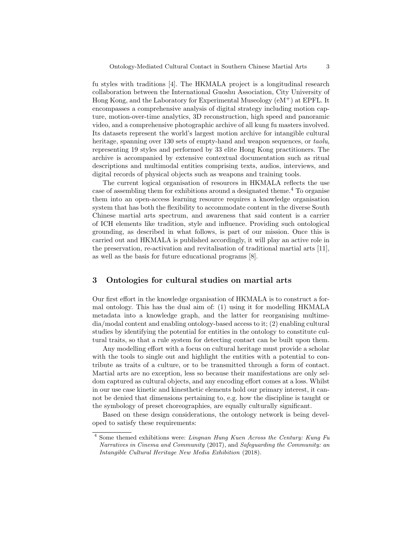fu styles with traditions [4]. The HKMALA project is a longitudinal research collaboration between the International Guoshu Association, City University of Hong Kong, and the Laboratory for Experimental Museology (eM+) at EPFL. It encompasses a comprehensive analysis of digital strategy including motion capture, motion-over-time analytics, 3D reconstruction, high speed and panoramic video, and a comprehensive photographic archive of all kung fu masters involved. Its datasets represent the world's largest motion archive for intangible cultural heritage, spanning over 130 sets of empty-hand and weapon sequences, or taolu, representing 19 styles and performed by 33 elite Hong Kong practitioners. The archive is accompanied by extensive contextual documentation such as ritual descriptions and multimodal entities comprising texts, audios, interviews, and digital records of physical objects such as weapons and training tools.

The current logical organisation of resources in HKMALA reflects the use case of assembling them for exhibitions around a designated theme.<sup>4</sup> To organise them into an open-access learning resource requires a knowledge organisation system that has both the flexibility to accommodate content in the diverse South Chinese martial arts spectrum, and awareness that said content is a carrier of ICH elements like tradition, style and influence. Providing such ontological grounding, as described in what follows, is part of our mission. Once this is carried out and HKMALA is published accordingly, it will play an active role in the preservation, re-activation and revitalisation of traditional martial arts [11], as well as the basis for future educational programs [8].

## 3 Ontologies for cultural studies on martial arts

Our first effort in the knowledge organisation of HKMALA is to construct a formal ontology. This has the dual aim of: (1) using it for modelling HKMALA metadata into a knowledge graph, and the latter for reorganising multimedia/modal content and enabling ontology-based access to it; (2) enabling cultural studies by identifying the potential for entities in the ontology to constitute cultural traits, so that a rule system for detecting contact can be built upon them.

Any modelling effort with a focus on cultural heritage must provide a scholar with the tools to single out and highlight the entities with a potential to contribute as traits of a culture, or to be transmitted through a form of contact. Martial arts are no exception, less so because their manifestations are only seldom captured as cultural objects, and any encoding effort comes at a loss. Whilst in our use case kinetic and kinesthetic elements hold our primary interest, it cannot be denied that dimensions pertaining to, e.g. how the discipline is taught or the symbology of preset choreographies, are equally culturally significant.

Based on these design considerations, the ontology network is being developed to satisfy these requirements:

<sup>4</sup> Some themed exhibitions were: Lingnan Hung Kuen Across the Century: Kung Fu Narratives in Cinema and Community (2017), and Safeguarding the Community: an Intangible Cultural Heritage New Media Exhibition (2018).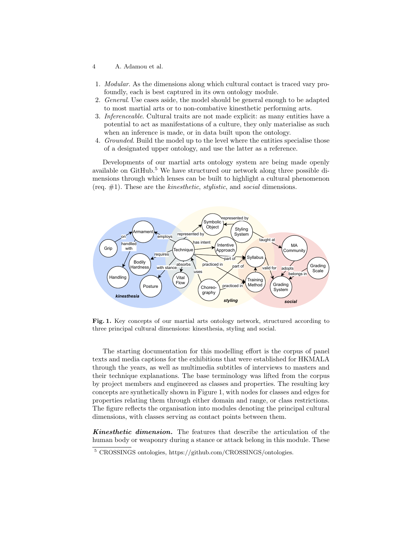- 4 A. Adamou et al.
- 1. Modular. As the dimensions along which cultural contact is traced vary profoundly, each is best captured in its own ontology module.
- 2. General. Use cases aside, the model should be general enough to be adapted to most martial arts or to non-combative kinesthetic performing arts.
- 3. Inferenceable. Cultural traits are not made explicit: as many entities have a potential to act as manifestations of a culture, they only materialise as such when an inference is made, or in data built upon the ontology.
- 4. Grounded. Build the model up to the level where the entities specialise those of a designated upper ontology, and use the latter as a reference.

Developments of our martial arts ontology system are being made openly available on GitHub.<sup>5</sup> We have structured our network along three possible dimensions through which lenses can be built to highlight a cultural phenomenon (req.  $\#1$ ). These are the *kinesthetic, stylistic*, and *social* dimensions.



Fig. 1. Key concepts of our martial arts ontology network, structured according to three principal cultural dimensions: kinesthesia, styling and social.

The starting documentation for this modelling effort is the corpus of panel texts and media captions for the exhibitions that were established for HKMALA through the years, as well as multimedia subtitles of interviews to masters and their technique explanations. The base terminology was lifted from the corpus by project members and engineered as classes and properties. The resulting key concepts are synthetically shown in Figure 1, with nodes for classes and edges for properties relating them through either domain and range, or class restrictions. The figure reflects the organisation into modules denoting the principal cultural dimensions, with classes serving as contact points between them.

Kinesthetic dimension. The features that describe the articulation of the human body or weaponry during a stance or attack belong in this module. These

<sup>5</sup> CROSSINGS ontologies, https://github.com/CROSSINGS/ontologies.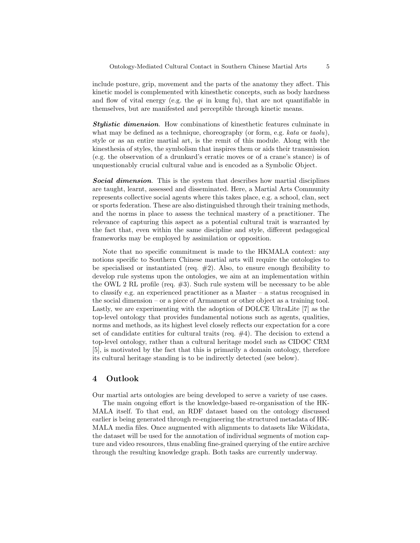include posture, grip, movement and the parts of the anatomy they affect. This kinetic model is complemented with kinesthetic concepts, such as body hardness and flow of vital energy (e.g. the  $qi$  in kung fu), that are not quantifiable in themselves, but are manifested and perceptible through kinetic means.

Stylistic dimension. How combinations of kinesthetic features culminate in what may be defined as a technique, choreography (or form, e.g. kata or taolu), style or as an entire martial art, is the remit of this module. Along with the kinesthesia of styles, the symbolism that inspires them or aids their transmission (e.g. the observation of a drunkard's erratic moves or of a crane's stance) is of unquestionably crucial cultural value and is encoded as a Symbolic Object.

**Social dimension.** This is the system that describes how martial disciplines are taught, learnt, assessed and disseminated. Here, a Martial Arts Community represents collective social agents where this takes place, e.g. a school, clan, sect or sports federation. These are also distinguished through their training methods, and the norms in place to assess the technical mastery of a practitioner. The relevance of capturing this aspect as a potential cultural trait is warranted by the fact that, even within the same discipline and style, different pedagogical frameworks may be employed by assimilation or opposition.

Note that no specific commitment is made to the HKMALA context: any notions specific to Southern Chinese martial arts will require the ontologies to be specialised or instantiated (req.  $#2$ ). Also, to ensure enough flexibility to develop rule systems upon the ontologies, we aim at an implementation within the OWL 2 RL profile (req.  $\#3$ ). Such rule system will be necessary to be able to classify e.g. an experienced practitioner as a Master – a status recognised in the social dimension – or a piece of Armament or other object as a training tool. Lastly, we are experimenting with the adoption of DOLCE UltraLite [7] as the top-level ontology that provides fundamental notions such as agents, qualities, norms and methods, as its highest level closely reflects our expectation for a core set of candidate entities for cultural traits (req.  $#4$ ). The decision to extend a top-level ontology, rather than a cultural heritage model such as CIDOC CRM [5], is motivated by the fact that this is primarily a domain ontology, therefore its cultural heritage standing is to be indirectly detected (see below).

## 4 Outlook

Our martial arts ontologies are being developed to serve a variety of use cases.

The main ongoing effort is the knowledge-based re-organisation of the HK-MALA itself. To that end, an RDF dataset based on the ontology discussed earlier is being generated through re-engineering the structured metadata of HK-MALA media files. Once augmented with alignments to datasets like Wikidata, the dataset will be used for the annotation of individual segments of motion capture and video resources, thus enabling fine-grained querying of the entire archive through the resulting knowledge graph. Both tasks are currently underway.